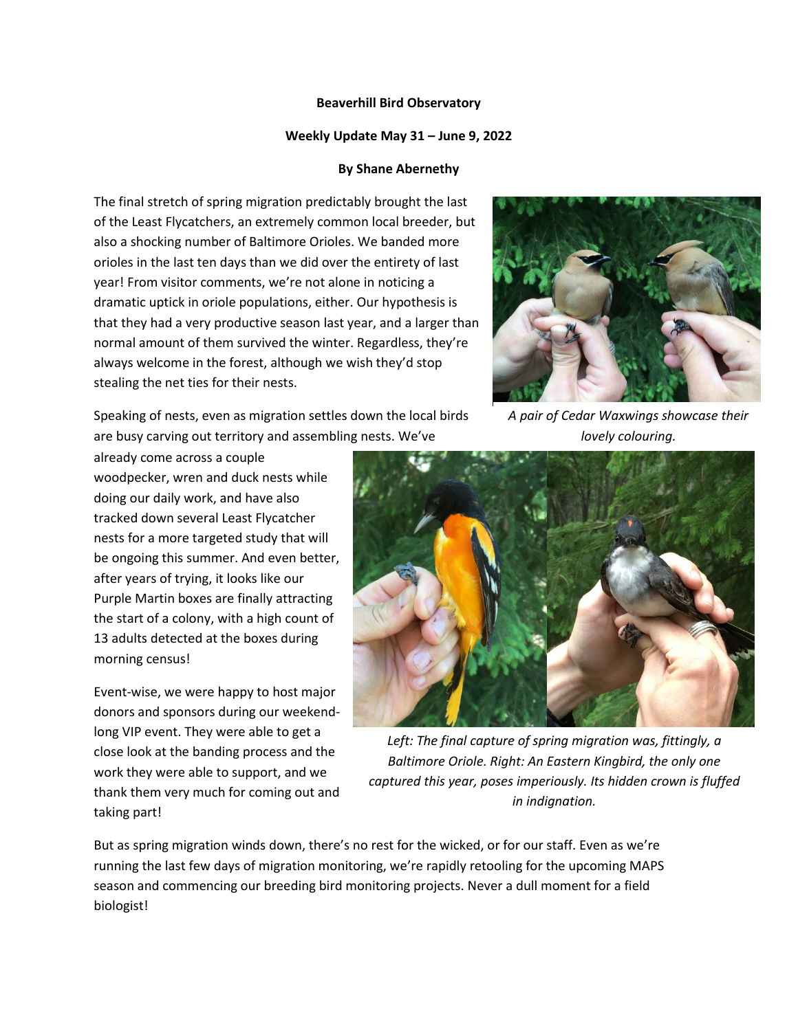## **Beaverhill Bird Observatory**

## **Weekly Update May 31 – June 9, 2022**

## **By Shane Abernethy**

The final stretch of spring migration predictably brought the last of the Least Flycatchers, an extremely common local breeder, but also a shocking number of Baltimore Orioles. We banded more orioles in the last ten days than we did over the entirety of last year! From visitor comments, we're not alone in noticing a dramatic uptick in oriole populations, either. Our hypothesis is that they had a very productive season last year, and a larger than normal amount of them survived the winter. Regardless, they're always welcome in the forest, although we wish they'd stop stealing the net ties for their nests.

Speaking of nests, even as migration settles down the local birds are busy carving out territory and assembling nests. We've

already come across a couple woodpecker, wren and duck nests while doing our daily work, and have also tracked down several Least Flycatcher nests for a more targeted study that will be ongoing this summer. And even better, after years of trying, it looks like our Purple Martin boxes are finally attracting the start of a colony, with a high count of 13 adults detected at the boxes during morning census!

Event-wise, we were happy to host major donors and sponsors during our weekendlong VIP event. They were able to get a close look at the banding process and the work they were able to support, and we thank them very much for coming out and taking part!



*A pair of Cedar Waxwings showcase their lovely colouring.* 



*Left: The final capture of spring migration was, fittingly, a Baltimore Oriole. Right: An Eastern Kingbird, the only one captured this year, poses imperiously. Its hidden crown is fluffed in indignation.*

But as spring migration winds down, there's no rest for the wicked, or for our staff. Even as we're running the last few days of migration monitoring, we're rapidly retooling for the upcoming MAPS season and commencing our breeding bird monitoring projects. Never a dull moment for a field biologist!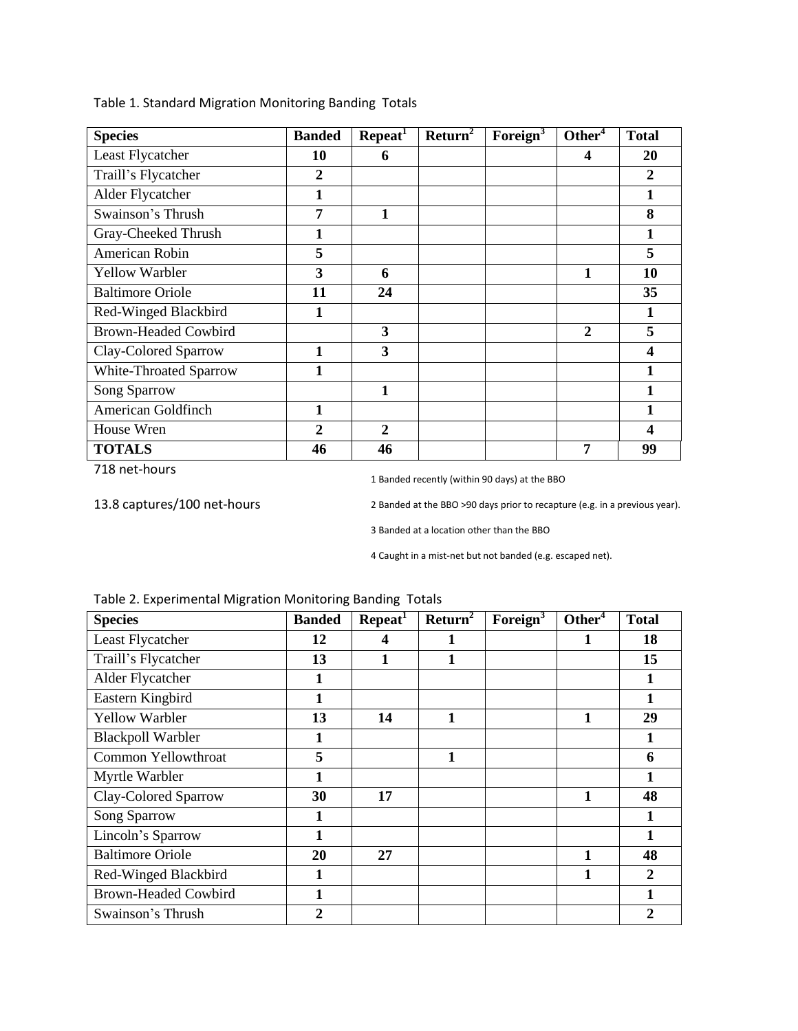| <b>Species</b>              | <b>Banded</b>    | Repeat <sup>1</sup> | Return <sup>2</sup> | Foreign $3$ | Other $\overline{f}$ | <b>Total</b>     |
|-----------------------------|------------------|---------------------|---------------------|-------------|----------------------|------------------|
| Least Flycatcher            | 10               | 6                   |                     |             | $\boldsymbol{4}$     | 20               |
| Traill's Flycatcher         | $\boldsymbol{2}$ |                     |                     |             |                      | $\boldsymbol{2}$ |
| Alder Flycatcher            | 1                |                     |                     |             |                      | 1                |
| Swainson's Thrush           | 7                | 1                   |                     |             |                      | 8                |
| Gray-Cheeked Thrush         | 1                |                     |                     |             |                      | 1                |
| American Robin              | 5                |                     |                     |             |                      | 5                |
| <b>Yellow Warbler</b>       | 3                | 6                   |                     |             | 1                    | 10               |
| <b>Baltimore Oriole</b>     | 11               | 24                  |                     |             |                      | 35               |
| Red-Winged Blackbird        | 1                |                     |                     |             |                      | 1                |
| <b>Brown-Headed Cowbird</b> |                  | 3                   |                     |             | $\mathbf{2}$         | 5                |
| Clay-Colored Sparrow        | 1                | 3                   |                     |             |                      | 4                |
| White-Throated Sparrow      | 1                |                     |                     |             |                      | 1                |
| Song Sparrow                |                  | 1                   |                     |             |                      | 1                |
| American Goldfinch          | 1                |                     |                     |             |                      | 1                |
| House Wren                  | $\overline{2}$   | $\overline{2}$      |                     |             |                      | 4                |
| <b>TOTALS</b>               | 46               | 46                  |                     |             | 7                    | 99               |

Table 1. Standard Migration Monitoring Banding Totals

718 net-hours

1 Banded recently (within 90 days) at the BBO

13.8 captures/100 net-hours

2 Banded at the BBO >90 days prior to recapture (e.g. in a previous year).

3 Banded at a location other than the BBO

4 Caught in a mist-net but not banded (e.g. escaped net).

| <b>Species</b>              | <b>Banded</b> | $\text{Repeat}^1$ | Return <sup>2</sup> | Foreign $3$ | Other <sup>4</sup> | <b>Total</b>   |
|-----------------------------|---------------|-------------------|---------------------|-------------|--------------------|----------------|
| Least Flycatcher            | 12            | 4                 |                     |             |                    | 18             |
| Traill's Flycatcher         | 13            | 1                 | 1                   |             |                    | 15             |
| Alder Flycatcher            |               |                   |                     |             |                    | 1              |
| Eastern Kingbird            |               |                   |                     |             |                    | 1              |
| <b>Yellow Warbler</b>       | 13            | 14                | 1                   |             | 1                  | 29             |
| <b>Blackpoll Warbler</b>    |               |                   |                     |             |                    | 1              |
| Common Yellowthroat         | 5             |                   | 1                   |             |                    | 6              |
| Myrtle Warbler              |               |                   |                     |             |                    | 1              |
| Clay-Colored Sparrow        | 30            | 17                |                     |             | 1                  | 48             |
| Song Sparrow                |               |                   |                     |             |                    | 1              |
| Lincoln's Sparrow           |               |                   |                     |             |                    | 1              |
| <b>Baltimore Oriole</b>     | 20            | 27                |                     |             | 1                  | 48             |
| Red-Winged Blackbird        |               |                   |                     |             | 1                  | $\overline{2}$ |
| <b>Brown-Headed Cowbird</b> |               |                   |                     |             |                    | $\mathbf{1}$   |
| Swainson's Thrush           | 2             |                   |                     |             |                    | $\overline{2}$ |

Table 2. Experimental Migration Monitoring Banding Totals